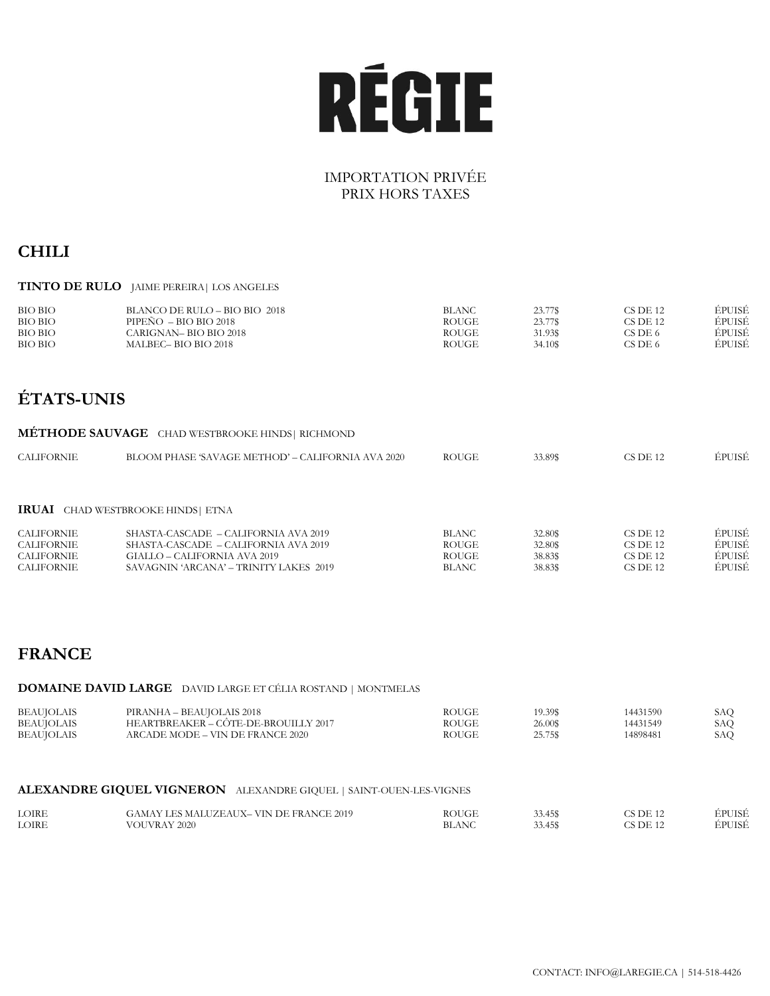# **RÉGIE**

## IMPORTATION PRIVÉE PRIX HORS TAXES

## **CHILI**

#### **TINTO DE RULO** JAIME PEREIRA| LOS ANGELES

| <b>BIO BIO</b> | BLANCO DE RULO - BIO BIO 2018 | <b>BLANC</b> | 23.77\$ | CS DE 12 | ÉPUISÉ |
|----------------|-------------------------------|--------------|---------|----------|--------|
| <b>BIO BIO</b> | PIPEÑO = BIO BIO 2018         | <b>ROUGE</b> | 23.77\$ | CS DE 12 | ÉPUISÉ |
| <b>BIO BIO</b> | CARIGNAN– BIO BIO 2018        | <b>ROUGE</b> | 31.93\$ | CS DE 6  | EPUISE |
| <b>BIO BIO</b> | MALBEC – BIO BIO 2018         | <b>ROUGE</b> | 34.10\$ | CS DE 6  | ÉPUISÉ |

# **ÉTATS-UNIS**

|                                                             | <b>METHODE SAUVAGE</b> CHAD WESTBROOKE HINDS   RICHMOND                                                                                                  |                                                |                                          |                                                      |                                      |
|-------------------------------------------------------------|----------------------------------------------------------------------------------------------------------------------------------------------------------|------------------------------------------------|------------------------------------------|------------------------------------------------------|--------------------------------------|
| CALIFORNIE                                                  | BLOOM PHASE 'SAVAGE METHOD' – CALIFORNIA AVA 2020                                                                                                        | <b>ROUGE</b>                                   | 33.89\$                                  | $CS$ DE 12                                           | ÉPUISÉ                               |
|                                                             |                                                                                                                                                          |                                                |                                          |                                                      |                                      |
|                                                             | <b>IRUAI</b> CHAD WESTBROOKE HINDS ETNA                                                                                                                  |                                                |                                          |                                                      |                                      |
| CALIFORNIE<br>CALIFORNIE<br><b>CALIFORNIE</b><br>CALIFORNIE | SHASTA-CASCADE – CALIFORNIA AVA 2019<br>SHASTA-CASCADE – CALIFORNIA AVA 2019<br>$GIALLO - CALIFORMIA AVA 2019$<br>SAVAGNIN 'ARCANA' - TRINITY LAKES 2019 | <b>BLANC</b><br>ROUGE<br>ROUGE<br><b>BLANC</b> | 32.80\$<br>32.80\$<br>38.83\$<br>38.83\$ | $CS$ DE 12<br>$CS$ DE 12<br>$CS$ DE 12<br>$CS$ DE 12 | ÉPUISÉ<br>ÉPUISÉ<br>ÉPUISÉ<br>ÉPUISÉ |

## **FRANCE**

#### **DOMAINE DAVID LARGE** DAVID LARGE ET CÉLIA ROSTAND | MONTMELAS

| PIRANHA - BEAUJOLAIS 2018<br><b>BEAUJOLAIS</b><br>HEARTBREAKER – CÔTE-DE-BROUILLY 2017<br><b>BEAUJOLAIS</b><br><b>BEAUJOLAIS</b><br>ARCADE MODE – VIN DE FRANCE 2020 | <b>ROUGE</b><br><b>ROUGE</b><br><b>ROUGE</b> | 19.39\$<br>26.00\$<br>25.75\$ | 14431590<br>14431549<br>14898481 | SAO<br>SAO<br>SAO |
|----------------------------------------------------------------------------------------------------------------------------------------------------------------------|----------------------------------------------|-------------------------------|----------------------------------|-------------------|
|----------------------------------------------------------------------------------------------------------------------------------------------------------------------|----------------------------------------------|-------------------------------|----------------------------------|-------------------|

#### **ALEXANDRE GIQUEL VIGNERON** ALEXANDRE GIQUEL | SAINT-OUEN-LES-VIGNES

| <b>LOIRE</b> | GAMAY LES MALUZEAUX– VIN DE FRANCE 2019 | ROUGE        | 33.45\$ | CS DE 12   | ÉPUISÉ |
|--------------|-----------------------------------------|--------------|---------|------------|--------|
| <b>LOIRE</b> | VOUVRAY 2020                            | <b>BLANC</b> | 33.45\$ | $CS$ DE 12 | ÉPUISÉ |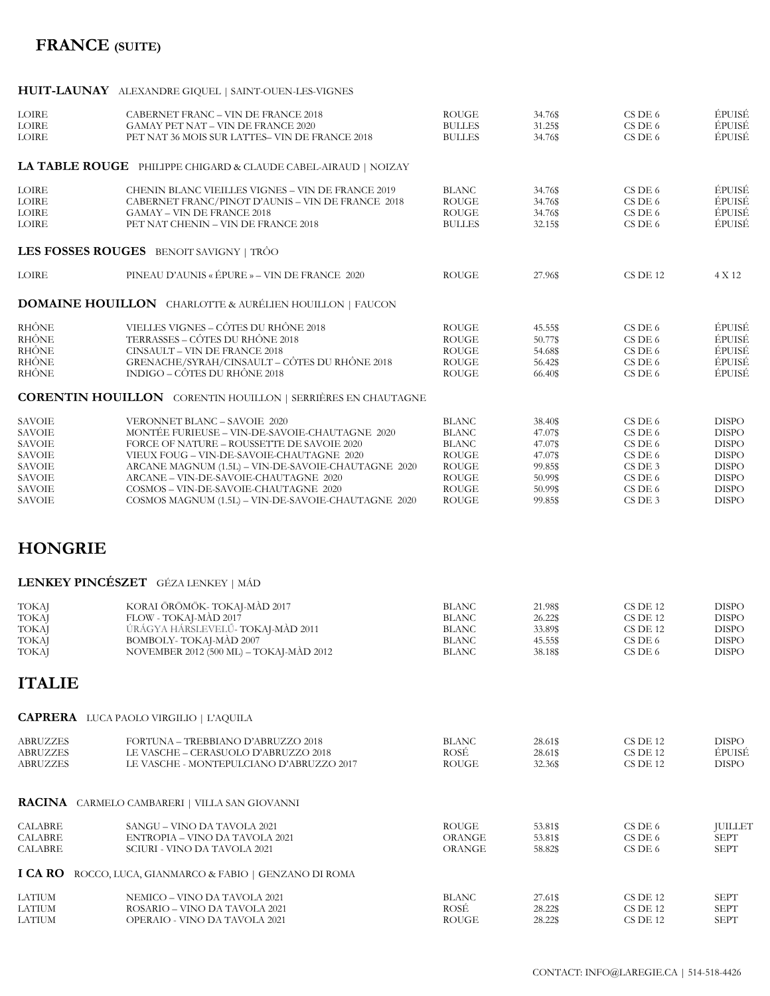# **FRANCE (SUITE)**

### **HUIT-LAUNAY** ALEXANDRE GIQUEL | SAINT-OUEN-LES-VIGNES

| <b>LOIRE</b><br>LOIRE<br>LOIRE                                                                                                       | CABERNET FRANC - VIN DE FRANCE 2018<br><b>GAMAY PET NAT – VIN DE FRANCE 2020</b><br>PET NAT 36 MOIS SUR LATTES-VIN DE FRANCE 2018                                                                                                                                                                                                                                         | <b>ROUGE</b><br><b>BULLES</b><br><b>BULLES</b>                                                                               | 34.76\$<br>31.25\$<br>34.76\$                                                        | CS DE 6<br>CS DE 6<br>CS DE 6                                                        | ÉPUISÉ<br>ÉPUISÉ<br>ÉPUISÉ                                                                                                   |
|--------------------------------------------------------------------------------------------------------------------------------------|---------------------------------------------------------------------------------------------------------------------------------------------------------------------------------------------------------------------------------------------------------------------------------------------------------------------------------------------------------------------------|------------------------------------------------------------------------------------------------------------------------------|--------------------------------------------------------------------------------------|--------------------------------------------------------------------------------------|------------------------------------------------------------------------------------------------------------------------------|
|                                                                                                                                      | LA TABLE ROUGE PHILIPPE CHIGARD & CLAUDE CABEL-AIRAUD   NOIZAY                                                                                                                                                                                                                                                                                                            |                                                                                                                              |                                                                                      |                                                                                      |                                                                                                                              |
| LOIRE<br>LOIRE<br>LOIRE<br>LOIRE                                                                                                     | CHENIN BLANC VIEILLES VIGNES - VIN DE FRANCE 2019<br>CABERNET FRANC/PINOT D'AUNIS - VIN DE FRANCE 2018<br><b>GAMAY - VIN DE FRANCE 2018</b><br>PET NAT CHENIN - VIN DE FRANCE 2018                                                                                                                                                                                        | <b>BLANC</b><br><b>ROUGE</b><br><b>ROUGE</b><br><b>BULLES</b>                                                                | 34.76\$<br>34.76\$<br>34.76\$<br>32.15\$                                             | CS DE 6<br>CS DE 6<br>CS DE 6<br>CS DE 6                                             | ÉPUISÉ<br>ÉPUISÉ<br>ÉPUISÉ<br>ÉPUISÉ                                                                                         |
|                                                                                                                                      | LES FOSSES ROUGES BENOIT SAVIGNY   TRÔO                                                                                                                                                                                                                                                                                                                                   |                                                                                                                              |                                                                                      |                                                                                      |                                                                                                                              |
| <b>LOIRE</b>                                                                                                                         | PINEAU D'AUNIS « ÉPURE » - VIN DE FRANCE 2020                                                                                                                                                                                                                                                                                                                             | <b>ROUGE</b>                                                                                                                 | 27.96\$                                                                              | CS DE 12                                                                             | 4 X 12                                                                                                                       |
|                                                                                                                                      | <b>DOMAINE HOUILLON</b> CHARLOTTE & AURÉLIEN HOUILLON   FAUCON                                                                                                                                                                                                                                                                                                            |                                                                                                                              |                                                                                      |                                                                                      |                                                                                                                              |
| <b>RHÔNE</b><br>RHÔNE<br><b>RHÔNE</b><br>RHÔNE<br>RHÔNE                                                                              | VIELLES VIGNES - CÔTES DU RHÔNE 2018<br>TERRASSES – CÔTES DU RHÔNE 2018<br>CINSAULT - VIN DE FRANCE 2018<br>GRENACHE/SYRAH/CINSAULT - CÔTES DU RHÔNE 2018<br>INDIGO – CÔTES DU RHÔNE 2018                                                                                                                                                                                 | <b>ROUGE</b><br><b>ROUGE</b><br><b>ROUGE</b><br><b>ROUGE</b><br><b>ROUGE</b>                                                 | 45.55\$<br>50.77\$<br>54.68\$<br>56.42\$<br>66.40\$                                  | CS DE 6<br>CS DE 6<br>$CS$ DE $6$<br>CS DE 6<br>$CS$ DE $6$                          | ÉPUISÉ<br>ÉPUISÉ<br>ÉPUISÉ<br>ÉPUISÉ<br>ÉPUISÉ                                                                               |
|                                                                                                                                      | <b>CORENTIN HOUILLON</b> CORENTIN HOUILLON   SERRIÈRES EN CHAUTAGNE                                                                                                                                                                                                                                                                                                       |                                                                                                                              |                                                                                      |                                                                                      |                                                                                                                              |
| <b>SAVOIE</b><br><b>SAVOIE</b><br><b>SAVOIE</b><br><b>SAVOIE</b><br><b>SAVOIE</b><br><b>SAVOIE</b><br><b>SAVOIE</b><br><b>SAVOIE</b> | VERONNET BLANC - SAVOIE 2020<br>MONTÉE FURIEUSE - VIN-DE-SAVOIE-CHAUTAGNE 2020<br>FORCE OF NATURE - ROUSSETTE DE SAVOIE 2020<br>VIEUX FOUG - VIN-DE-SAVOIE-CHAUTAGNE 2020<br>ARCANE MAGNUM (1.5L) – VIN-DE-SAVOIE-CHAUTAGNE 2020<br>ARCANE - VIN-DE-SAVOIE-CHAUTAGNE 2020<br>COSMOS - VIN-DE-SAVOIE-CHAUTAGNE 2020<br>COSMOS MAGNUM (1.5L) - VIN-DE-SAVOIE-CHAUTAGNE 2020 | <b>BLANC</b><br><b>BLANC</b><br><b>BLANC</b><br><b>ROUGE</b><br><b>ROUGE</b><br><b>ROUGE</b><br><b>ROUGE</b><br><b>ROUGE</b> | 38.40\$<br>47.07\$<br>47.07\$<br>47.07\$<br>99.85\$<br>50.99\$<br>50.99\$<br>99.85\$ | CS DE 6<br>CS DE 6<br>CS DE 6<br>CS DE 6<br>CS DE 3<br>CS DE 6<br>CS DE 6<br>CS DE 3 | <b>DISPO</b><br><b>DISPO</b><br><b>DISPO</b><br><b>DISPO</b><br><b>DISPO</b><br><b>DISPO</b><br><b>DISPO</b><br><b>DISPO</b> |
| <b>HONGRIE</b>                                                                                                                       |                                                                                                                                                                                                                                                                                                                                                                           |                                                                                                                              |                                                                                      |                                                                                      |                                                                                                                              |
|                                                                                                                                      | LENKEY PINCÉSZET GÉZA LENKEY   MÁD                                                                                                                                                                                                                                                                                                                                        |                                                                                                                              |                                                                                      |                                                                                      |                                                                                                                              |
| <b>TOKAJ</b><br><b>TOKAJ</b><br><b>TOKAJ</b><br><b>TOKAJ</b><br>TOKAJ                                                                | KORAI ÖRÖMÖK- TOKAJ-MÀD 2017<br>FLOW - TOKAJ-MÀD 2017<br>ÚRÁGYA HÁRSLEVELŰ-TOKAJ-MÀD 2011<br>BOMBOLY-TOKAJ-MÀD 2007<br>NOVEMBER 2012 (500 ML) - TOKAJ-MÀD 2012                                                                                                                                                                                                            | <b>BLANC</b><br><b>BLANC</b><br><b>BLANC</b><br><b>BLANC</b><br><b>BLANC</b>                                                 | 21.98\$<br>26.22\$<br>33.89\$<br>45.55\$<br>38.18\$                                  | CS DE 12<br>CS DE 12<br>CS DE 12<br>CS DE 6<br>CS DE 6                               | <b>DISPO</b><br><b>DISPO</b><br><b>DISPO</b><br><b>DISPO</b><br><b>DISPO</b>                                                 |
| <b>ITALIE</b>                                                                                                                        |                                                                                                                                                                                                                                                                                                                                                                           |                                                                                                                              |                                                                                      |                                                                                      |                                                                                                                              |
|                                                                                                                                      | <b>CAPRERA</b> LUCA PAOLO VIRGILIO   L'AQUILA                                                                                                                                                                                                                                                                                                                             |                                                                                                                              |                                                                                      |                                                                                      |                                                                                                                              |
| <b>ABRUZZES</b><br><b>ABRUZZES</b><br><b>ABRUZZES</b>                                                                                | FORTUNA - TREBBIANO D'ABRUZZO 2018<br>LE VASCHE - CERASUOLO D'ABRUZZO 2018<br>LE VASCHE - MONTEPULCIANO D'ABRUZZO 2017                                                                                                                                                                                                                                                    | <b>BLANC</b><br>ROSÉ<br><b>ROUGE</b>                                                                                         | 28.61\$<br>28.61\$<br>32.36\$                                                        | CS DE 12<br>CS DE 12<br>CS DE 12                                                     | <b>DISPO</b><br>ÉPUISÉ<br><b>DISPO</b>                                                                                       |
|                                                                                                                                      | <b>RACINA</b> CARMELO CAMBARERI   VILLA SAN GIOVANNI                                                                                                                                                                                                                                                                                                                      |                                                                                                                              |                                                                                      |                                                                                      |                                                                                                                              |
| <b>CALABRE</b><br><b>CALABRE</b><br><b>CALABRE</b>                                                                                   | SANGU – VINO DA TAVOLA 2021<br>ENTROPIA – VINO DA TAVOLA 2021<br>SCIURI - VINO DA TAVOLA 2021                                                                                                                                                                                                                                                                             | <b>ROUGE</b><br><b>ORANGE</b><br>ORANGE                                                                                      | 53.81\$<br>53.81\$<br>58.82\$                                                        | CS DE 6<br>CS DE 6<br>CS DE 6                                                        | <b>JUILLET</b><br><b>SEPT</b><br><b>SEPT</b>                                                                                 |
| I CA RO                                                                                                                              | ROCCO, LUCA, GIANMARCO & FABIO   GENZANO DI ROMA                                                                                                                                                                                                                                                                                                                          |                                                                                                                              |                                                                                      |                                                                                      |                                                                                                                              |
| LATIUM<br>LATIUM<br><b>LATIUM</b>                                                                                                    | NEMICO – VINO DA TAVOLA 2021<br>ROSARIO – VINO DA TAVOLA 2021<br>OPERAIO - VINO DA TAVOLA 2021                                                                                                                                                                                                                                                                            | <b>BLANC</b><br>ROSÉ<br><b>ROUGE</b>                                                                                         | 27.61\$<br>28.22\$<br>28.22\$                                                        | CS DE 12<br>CS DE 12<br>CS DE 12                                                     | <b>SEPT</b><br><b>SEPT</b><br><b>SEPT</b>                                                                                    |